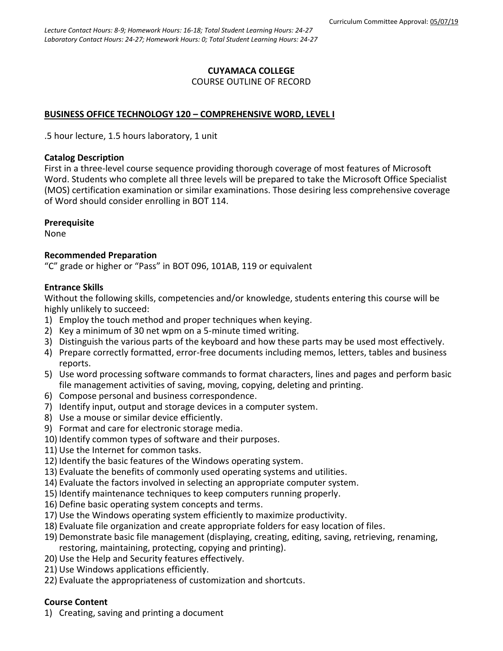#### **CUYAMACA COLLEGE** COURSE OUTLINE OF RECORD

### **BUSINESS OFFICE TECHNOLOGY 120 – COMPREHENSIVE WORD, LEVEL I**

.5 hour lecture, 1.5 hours laboratory, 1 unit

#### **Catalog Description**

First in a three-level course sequence providing thorough coverage of most features of Microsoft Word. Students who complete all three levels will be prepared to take the Microsoft Office Specialist (MOS) certification examination or similar examinations. Those desiring less comprehensive coverage of Word should consider enrolling in BOT 114.

#### **Prerequisite**

None

#### **Recommended Preparation**

"C" grade or higher or "Pass" in BOT 096, 101AB, 119 or equivalent

#### **Entrance Skills**

Without the following skills, competencies and/or knowledge, students entering this course will be highly unlikely to succeed:

- 1) Employ the touch method and proper techniques when keying.
- 2) Key a minimum of 30 net wpm on a 5-minute timed writing.
- 3) Distinguish the various parts of the keyboard and how these parts may be used most effectively.
- 4) Prepare correctly formatted, error-free documents including memos, letters, tables and business reports.
- 5) Use word processing software commands to format characters, lines and pages and perform basic file management activities of saving, moving, copying, deleting and printing.
- 6) Compose personal and business correspondence.
- 7) Identify input, output and storage devices in a computer system.
- 8) Use a mouse or similar device efficiently.
- 9) Format and care for electronic storage media.
- 10) Identify common types of software and their purposes.
- 11) Use the Internet for common tasks.
- 12) Identify the basic features of the Windows operating system.
- 13) Evaluate the benefits of commonly used operating systems and utilities.
- 14) Evaluate the factors involved in selecting an appropriate computer system.
- 15) Identify maintenance techniques to keep computers running properly.
- 16) Define basic operating system concepts and terms.
- 17) Use the Windows operating system efficiently to maximize productivity.
- 18) Evaluate file organization and create appropriate folders for easy location of files.
- 19) Demonstrate basic file management (displaying, creating, editing, saving, retrieving, renaming, restoring, maintaining, protecting, copying and printing).
- 20) Use the Help and Security features effectively.
- 21) Use Windows applications efficiently.
- 22) Evaluate the appropriateness of customization and shortcuts.

# **Course Content**

1) Creating, saving and printing a document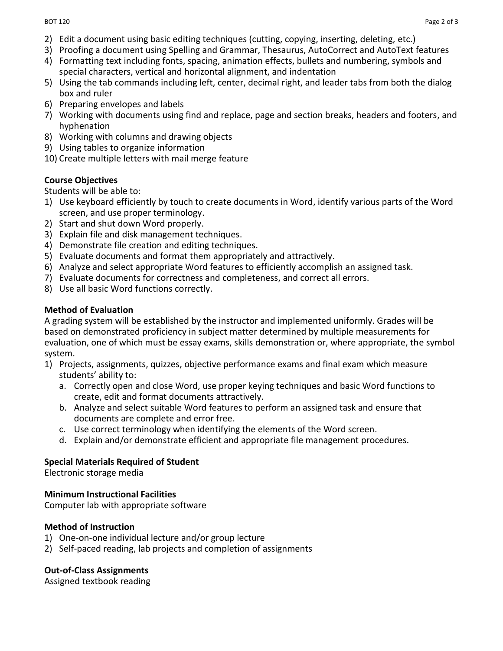- 2) Edit a document using basic editing techniques (cutting, copying, inserting, deleting, etc.)
- 3) Proofing a document using Spelling and Grammar, Thesaurus, AutoCorrect and AutoText features
- 4) Formatting text including fonts, spacing, animation effects, bullets and numbering, symbols and special characters, vertical and horizontal alignment, and indentation
- 5) Using the tab commands including left, center, decimal right, and leader tabs from both the dialog box and ruler
- 6) Preparing envelopes and labels
- 7) Working with documents using find and replace, page and section breaks, headers and footers, and hyphenation
- 8) Working with columns and drawing objects
- 9) Using tables to organize information
- 10) Create multiple letters with mail merge feature

## **Course Objectives**

Students will be able to:

- 1) Use keyboard efficiently by touch to create documents in Word, identify various parts of the Word screen, and use proper terminology.
- 2) Start and shut down Word properly.
- 3) Explain file and disk management techniques.
- 4) Demonstrate file creation and editing techniques.
- 5) Evaluate documents and format them appropriately and attractively.
- 6) Analyze and select appropriate Word features to efficiently accomplish an assigned task.
- 7) Evaluate documents for correctness and completeness, and correct all errors.
- 8) Use all basic Word functions correctly.

## **Method of Evaluation**

A grading system will be established by the instructor and implemented uniformly. Grades will be based on demonstrated proficiency in subject matter determined by multiple measurements for evaluation, one of which must be essay exams, skills demonstration or, where appropriate, the symbol system.

- 1) Projects, assignments, quizzes, objective performance exams and final exam which measure students' ability to:
	- a. Correctly open and close Word, use proper keying techniques and basic Word functions to create, edit and format documents attractively.
	- b. Analyze and select suitable Word features to perform an assigned task and ensure that documents are complete and error free.
	- c. Use correct terminology when identifying the elements of the Word screen.
	- d. Explain and/or demonstrate efficient and appropriate file management procedures.

# **Special Materials Required of Student**

Electronic storage media

### **Minimum Instructional Facilities**

Computer lab with appropriate software

# **Method of Instruction**

- 1) One-on-one individual lecture and/or group lecture
- 2) Self-paced reading, lab projects and completion of assignments

# **Out-of-Class Assignments**

Assigned textbook reading